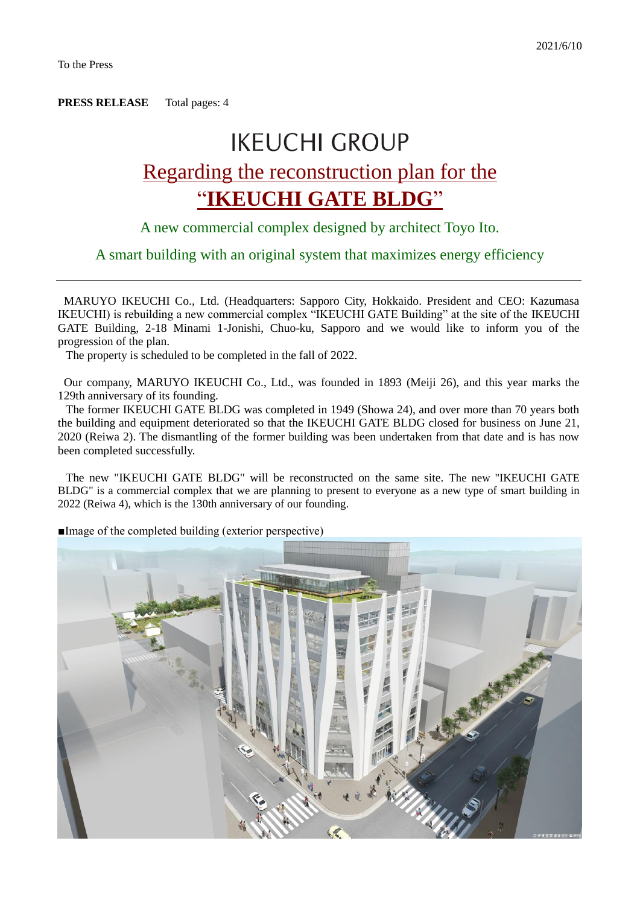**PRESS RELEASE** Total pages: 4

# **IKEUCHI GROUP**

# Regarding the reconstruction plan for the "**IKEUCHI GATE BLDG**"

A new commercial complex designed by architect Toyo Ito.

A smart building with an original system that maximizes energy efficiency

MARUYO IKEUCHI Co., Ltd. (Headquarters: Sapporo City, Hokkaido. President and CEO: Kazumasa IKEUCHI) is rebuilding a new commercial complex "IKEUCHI GATE Building" at the site of the IKEUCHI GATE Building, 2-18 Minami 1-Jonishi, Chuo-ku, Sapporo and we would like to inform you of the progression of the plan.

The property is scheduled to be completed in the fall of 2022.

Our company, MARUYO IKEUCHI Co., Ltd., was founded in 1893 (Meiji 26), and this year marks the 129th anniversary of its founding.

The former IKEUCHI GATE BLDG was completed in 1949 (Showa 24), and over more than 70 years both the building and equipment deteriorated so that the IKEUCHI GATE BLDG closed for business on June 21, 2020 (Reiwa 2). The dismantling of the former building was been undertaken from that date and is has now been completed successfully.

The new "IKEUCHI GATE BLDG" will be reconstructed on the same site. The new "IKEUCHI GATE BLDG" is a commercial complex that we are planning to present to everyone as a new type of smart building in 2022 (Reiwa 4), which is the 130th anniversary of our founding.

■Image of the completed building (exterior perspective)

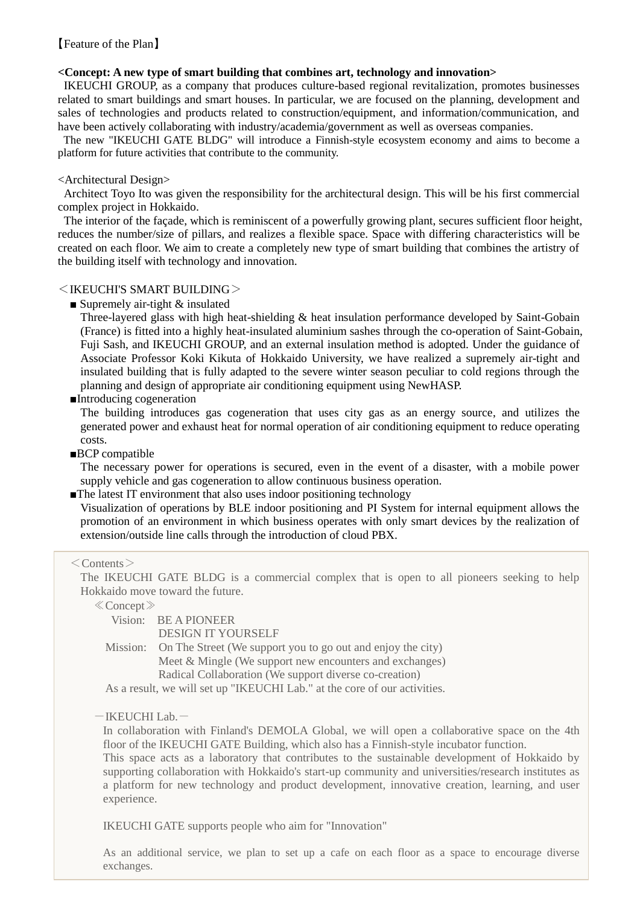# 【Feature of the Plan】

## **<Concept: A new type of smart building that combines art, technology and innovation>**

IKEUCHI GROUP, as a company that produces culture-based regional revitalization, promotes businesses related to smart buildings and smart houses. In particular, we are focused on the planning, development and sales of technologies and products related to construction/equipment, and information/communication, and have been actively collaborating with industry/academia/government as well as overseas companies.

The new "IKEUCHI GATE BLDG" will introduce a Finnish-style ecosystem economy and aims to become a platform for future activities that contribute to the community.

#### <Architectural Design>

Architect Toyo Ito was given the responsibility for the architectural design. This will be his first commercial complex project in Hokkaido.

The interior of the façade, which is reminiscent of a powerfully growing plant, secures sufficient floor height, reduces the number/size of pillars, and realizes a flexible space. Space with differing characteristics will be created on each floor. We aim to create a completely new type of smart building that combines the artistry of the building itself with technology and innovation.

### <IKEUCHI'S SMART BUILDING>

 $\blacksquare$  Supremely air-tight & insulated

Three-layered glass with high heat-shielding & heat insulation performance developed by Saint-Gobain (France) is fitted into a highly heat-insulated aluminium sashes through the co-operation of Saint-Gobain, Fuji Sash, and IKEUCHI GROUP, and an external insulation method is adopted. Under the guidance of Associate Professor Koki Kikuta of Hokkaido University, we have realized a supremely air-tight and insulated building that is fully adapted to the severe winter season peculiar to cold regions through the planning and design of appropriate air conditioning equipment using NewHASP.

■Introducing cogeneration

The building introduces gas cogeneration that uses city gas as an energy source, and utilizes the generated power and exhaust heat for normal operation of air conditioning equipment to reduce operating costs.

■**BCP** compatible

The necessary power for operations is secured, even in the event of a disaster, with a mobile power supply vehicle and gas cogeneration to allow continuous business operation.

■The latest IT environment that also uses indoor positioning technology

Visualization of operations by BLE indoor positioning and PI System for internal equipment allows the promotion of an environment in which business operates with only smart devices by the realization of extension/outside line calls through the introduction of cloud PBX.

#### $\langle$  Contents $\rangle$

The IKEUCHI GATE BLDG is a commercial complex that is open to all pioneers seeking to help Hokkaido move toward the future.

≪Concept≫

Vision: BE A PIONEER DESIGN IT YOURSELF

Mission: On The Street (We support you to go out and enjoy the city) Meet & Mingle (We support new encounters and exchanges) Radical Collaboration (We support diverse co-creation)

As a result, we will set up "IKEUCHI Lab." at the core of our activities.

#### $-$ IKEUCHI Lab. $-$

In collaboration with Finland's DEMOLA Global, we will open a collaborative space on the 4th floor of the IKEUCHI GATE Building, which also has a Finnish-style incubator function.

This space acts as a laboratory that contributes to the sustainable development of Hokkaido by supporting collaboration with Hokkaido's start-up community and universities/research institutes as a platform for new technology and product development, innovative creation, learning, and user experience.

IKEUCHI GATE supports people who aim for "Innovation"

As an additional service, we plan to set up a cafe on each floor as a space to encourage diverse exchanges.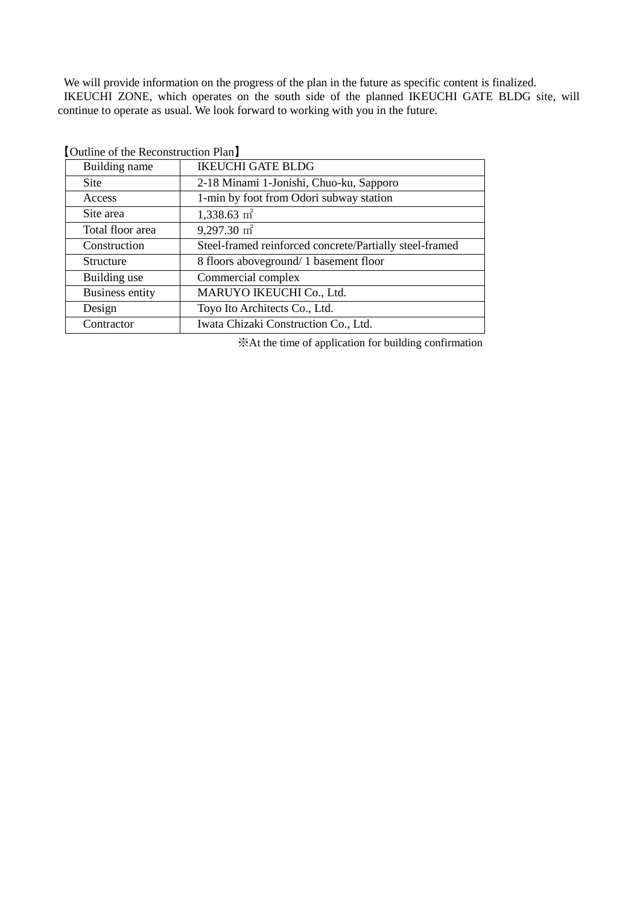We will provide information on the progress of the plan in the future as specific content is finalized. IKEUCHI ZONE, which operates on the south side of the planned IKEUCHI GATE BLDG site, will continue to operate as usual. We look forward to working with you in the future.

| $\mathbf{I}$ outfine of the reconstruction Fight |                                                         |
|--------------------------------------------------|---------------------------------------------------------|
| Building name                                    | <b>IKEUCHI GATE BLDG</b>                                |
| Site                                             | 2-18 Minami 1-Jonishi, Chuo-ku, Sapporo                 |
| Access                                           | 1-min by foot from Odori subway station                 |
| Site area                                        | $1,338.63 \text{ m}^2$                                  |
| Total floor area                                 | $9,297.30 \text{ m}^2$                                  |
| Construction                                     | Steel-framed reinforced concrete/Partially steel-framed |
| Structure                                        | 8 floors aboveground/ 1 basement floor                  |
| Building use                                     | Commercial complex                                      |
| <b>Business entity</b>                           | MARUYO IKEUCHI Co., Ltd.                                |
| Design                                           | Toyo Ito Architects Co., Ltd.                           |
| Contractor                                       | Iwata Chizaki Construction Co., Ltd.                    |
|                                                  |                                                         |

【Outline of the Reconstruction Plan】

※At the time of application for building confirmation